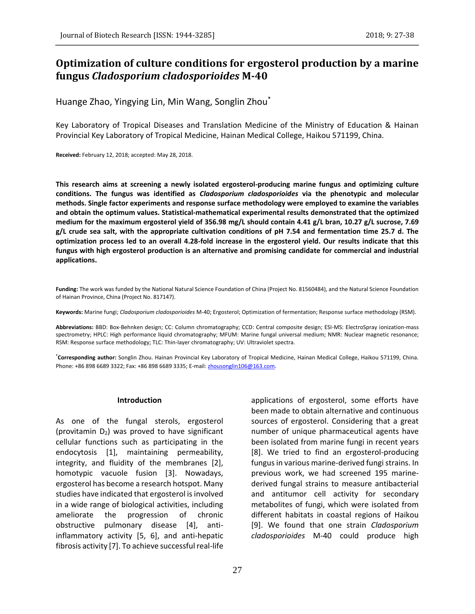# **Optimization of culture conditions for ergosterol production by a marine fungus** *Cladosporium cladosporioides* **M-40**

Huange Zhao, Yingying Lin, Min Wang, Songlin Zhou\*

Key Laboratory of Tropical Diseases and Translation Medicine of the Ministry of Education & Hainan Provincial Key Laboratory of Tropical Medicine, Hainan Medical College, Haikou 571199, China.

**Received:** February 12, 2018; accepted: May 28, 2018.

**This research aims at screening a newly isolated ergosterol-producing marine fungus and optimizing culture conditions. The fungus was identified as** *Cladosporium cladosporioides* **via the phenotypic and molecular methods. Single factor experiments and response surface methodology were employed to examine the variables and obtain the optimum values. Statistical-mathematical experimental results demonstrated that the optimized medium for the maximum ergosterol yield of 356.98 mg/L should contain 4.41 g/L bran, 10.27 g/L sucrose, 7.69 g/L crude sea salt, with the appropriate cultivation conditions of pH 7.54 and fermentation time 25.7 d. The optimization process led to an overall 4.28-fold increase in the ergosterol yield. Our results indicate that this fungus with high ergosterol production is an alternative and promising candidate for commercial and industrial applications.**

**Funding:** The work was funded by the National Natural Science Foundation of China (Project No. 81560484), and the Natural Science Foundation of Hainan Province, China (Project No. 817147).

**Keywords:** Marine fungi; *Cladosporium cladosporioides* M-40; Ergosterol; Optimization of fermentation; Response surface methodology (RSM).

**Abbreviations:** BBD: Box-Behnken design; CC: Column chromatography; CCD: Central composite design; ESI-MS: ElectroSpray ionization-mass spectrometry; HPLC: High performance liquid chromatography; MFUM: Marine fungal universal medium; NMR: Nuclear magnetic resonance; RSM: Response surface methodology; TLC: Thin-layer chromatography; UV: Ultraviolet spectra.

**\*Corresponding author:** Songlin Zhou. Hainan Provincial Key Laboratory of Tropical Medicine, Hainan Medical College, Haikou 571199, China. Phone: +86 898 6689 3322; Fax: +86 898 6689 3335; E-mail: zhousonglin106@163.com.

#### **Introduction**

As one of the fungal sterols, ergosterol (provitamin  $D_2$ ) was proved to have significant cellular functions such as participating in the endocytosis [1], maintaining permeability, integrity, and fluidity of the membranes [2], homotypic vacuole fusion [3]. Nowadays, ergosterol has become a research hotspot. Many studies have indicated that ergosterol is involved in a wide range of biological activities, including ameliorate the progression of chronic obstructive pulmonary disease [4], antiinflammatory activity [5, 6], and anti-hepatic fibrosis activity [7]. To achieve successful real-life applications of ergosterol, some efforts have been made to obtain alternative and continuous sources of ergosterol. Considering that a great number of unique pharmaceutical agents have been isolated from marine fungi in recent years [8]. We tried to find an ergosterol-producing fungus in various marine-derived fungi strains. In previous work, we had screened 195 marinederived fungal strains to measure antibacterial and antitumor cell activity for secondary metabolites of fungi, which were isolated from different habitats in coastal regions of Haikou [9]. We found that one strain *Cladosporium cladosporioides* M-40 could produce high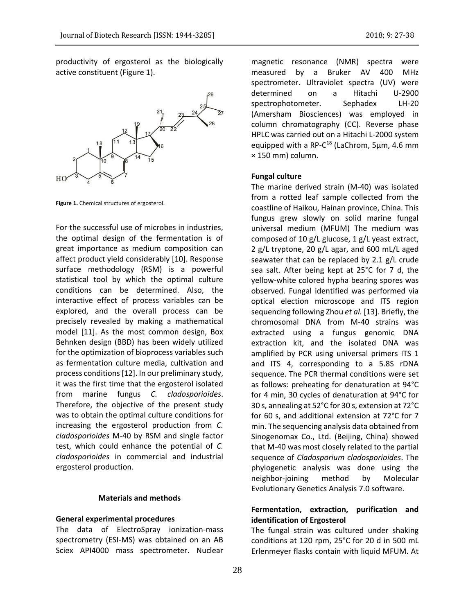productivity of ergosterol as the biologically active constituent (Figure 1).



**Figure 1.** Chemical structures of ergosterol.

For the successful use of microbes in industries, the optimal design of the fermentation is of great importance as medium composition can affect product yield considerably [10]. Response surface methodology (RSM) is a powerful statistical tool by which the optimal culture conditions can be determined. Also, the interactive effect of process variables can be explored, and the overall process can be precisely revealed by making a mathematical model [11]. As the most common design, Box Behnken design (BBD) has been widely utilized for the optimization of bioprocess variables such as fermentation culture media, cultivation and process conditions [12]. In our preliminary study, it was the first time that the ergosterol isolated from marine fungus *C. cladosporioides*. Therefore, the objective of the present study was to obtain the optimal culture conditions for increasing the ergosterol production from *C. cladosporioides* M-40 by RSM and single factor test, which could enhance the potential of *C. cladosporioides* in commercial and industrial ergosterol production.

### **Materials and methods**

#### **General experimental procedures**

The data of ElectroSpray ionization-mass spectrometry (ESI-MS) was obtained on an AB Sciex API4000 mass spectrometer. Nuclear magnetic resonance (NMR) spectra were measured by a Bruker AV 400 MHz spectrometer. Ultraviolet spectra (UV) were determined on a Hitachi U-2900 spectrophotometer. Sephadex LH-20 (Amersham Biosciences) was employed in column chromatography (CC). Reverse phase HPLC was carried out on a Hitachi L-2000 system equipped with a RP-C<sup>18</sup> (LaChrom, 5μm, 4.6 mm × 150 mm) column.

### **Fungal culture**

The marine derived strain (M-40) was isolated from a rotted leaf sample collected from the coastline of Haikou, Hainan province, China. This fungus grew slowly on solid marine fungal universal medium (MFUM) The medium was composed of 10 g/L glucose, 1 g/L yeast extract, 2 g/L tryptone, 20 g/L agar, and 600 mL/L aged seawater that can be replaced by 2.1 g/L crude sea salt. After being kept at 25°C for 7 d, the yellow-white colored hypha bearing spores was observed. Fungal identified was performed via optical election microscope and ITS region sequencing following Zhou *et al.* [13]. Briefly, the chromosomal DNA from M-40 strains was extracted using a fungus genomic DNA extraction kit, and the isolated DNA was amplified by PCR using universal primers ITS 1 and ITS 4, corresponding to a 5.8S rDNA sequence. The PCR thermal conditions were set as follows: preheating for denaturation at 94°C for 4 min, 30 cycles of denaturation at 94°C for 30 s, annealing at 52°C for 30 s, extension at 72°C for 60 s, and additional extension at 72°C for 7 min. The sequencing analysis data obtained from Sinogenomax Co., Ltd. (Beijing, China) showed that M-40 was most closely related to the partial sequence of *Cladosporium cladosporioides*. The phylogenetic analysis was done using the neighbor-joining method by Molecular Evolutionary Genetics Analysis 7.0 software.

# **Fermentation, extraction, purification and identification of Ergosterol**

The fungal strain was cultured under shaking conditions at 120 rpm, 25°C for 20 d in 500 mL Erlenmeyer flasks contain with liquid MFUM. At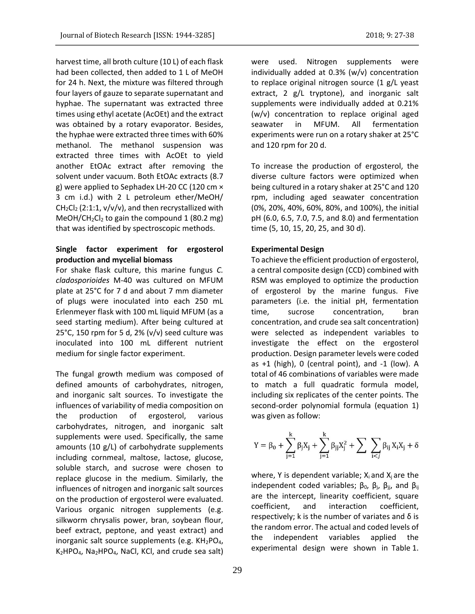harvest time, all broth culture (10 L) of each flask had been collected, then added to 1 L of MeOH for 24 h. Next, the mixture was filtered through four layers of gauze to separate supernatant and hyphae. The supernatant was extracted three times using ethyl acetate (AcOEt) and the extract was obtained by a rotary evaporator. Besides, the hyphae were extracted three times with 60% methanol. The methanol suspension was extracted three times with AcOEt to yield another EtOAc extract after removing the solvent under vacuum. Both EtOAc extracts (8.7 g) were applied to Sephadex LH-20 CC (120 cm × 3 cm i.d.) with 2 L petroleum ether/MeOH/  $CH_2Cl_2$  (2:1:1, v/v/v), and then recrystallized with MeOH/CH<sub>2</sub>Cl<sub>2</sub> to gain the compound 1 (80.2 mg) that was identified by spectroscopic methods.

# **Single factor experiment for ergosterol production and mycelial biomass**

For shake flask culture, this marine fungus *C. cladosporioides* M-40 was cultured on MFUM plate at 25°C for 7 d and about 7 mm diameter of plugs were inoculated into each 250 mL Erlenmeyer flask with 100 mL liquid MFUM (as a seed starting medium). After being cultured at 25°C, 150 rpm for 5 d, 2% (v/v) seed culture was inoculated into 100 mL different nutrient medium for single factor experiment.

The fungal growth medium was composed of defined amounts of carbohydrates, nitrogen, and inorganic salt sources. To investigate the influences of variability of media composition on the production of ergosterol, various carbohydrates, nitrogen, and inorganic salt supplements were used. Specifically, the same amounts (10 g/L) of carbohydrate supplements including cornmeal, maltose, lactose, glucose, soluble starch, and sucrose were chosen to replace glucose in the medium. Similarly, the influences of nitrogen and inorganic salt sources on the production of ergosterol were evaluated. Various organic nitrogen supplements (e.g. silkworm chrysalis power, bran, soybean flour, beef extract, peptone, and yeast extract) and inorganic salt source supplements (e.g. KH<sub>2</sub>PO<sub>4</sub>, K2HPO4, Na2HPO4, NaCl, KCl, and crude sea salt)

were used. Nitrogen supplements were individually added at 0.3% (w/v) concentration to replace original nitrogen source (1 g/L yeast extract, 2 g/L tryptone), and inorganic salt supplements were individually added at 0.21% (w/v) concentration to replace original aged seawater in MFUM. All fermentation experiments were run on a rotary shaker at 25°C and 120 rpm for 20 d.

To increase the production of ergosterol, the diverse culture factors were optimized when being cultured in a rotary shaker at 25°C and 120 rpm, including aged seawater concentration (0%, 20%, 40%, 60%, 80%, and 100%), the initial pH (6.0, 6.5, 7.0, 7.5, and 8.0) and fermentation time (5, 10, 15, 20, 25, and 30 d).

# **Experimental Design**

To achieve the efficient production of ergosterol, a central composite design (CCD) combined with RSM was employed to optimize the production of ergosterol by the marine fungus. Five parameters (i.e. the initial pH, fermentation time, sucrose concentration, bran concentration, and crude sea salt concentration) were selected as independent variables to investigate the effect on the ergosterol production. Design parameter levels were coded as +1 (high), 0 (central point), and -1 (low). A total of 46 combinations of variables were made to match a full quadratic formula model, including six replicates of the center points. The second-order polynomial formula (equation 1) was given as follow:

$$
Y=\beta_0+\sum_{j=1}^k\beta_jX_j+\sum_{j=1}^k\beta_{jj}X_j^2+\sum\ \sum_{i
$$

where, Y is dependent variable;  $X_i$  and  $X_i$  are the independent coded variables;  $β_0$ ,  $β_1$ ,  $β_{ii}$ , and  $β_{ij}$ are the intercept, linearity coefficient, square coefficient, and interaction coefficient, respectively; k is the number of variates and  $δ$  is the random error. The actual and coded levels of the independent variables applied the experimental design were shown in Table 1.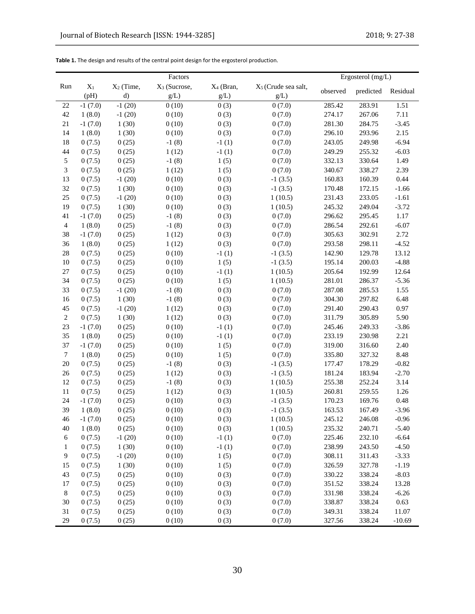|                |           |              | Factors                  |                       |                                 | Ergosterol $(mg/L)$ |           |          |
|----------------|-----------|--------------|--------------------------|-----------------------|---------------------------------|---------------------|-----------|----------|
| Run            | $X_1$     | $X_2$ (Time, | X <sub>3</sub> (Sucrose, | X <sub>4</sub> (Bran, | X <sub>5</sub> (Crude sea salt, | observed            | predicted |          |
|                | (pH)      | d)           | g/L)                     | g/L)                  | g/L)                            |                     |           | Residual |
| 22             | $-1(7.0)$ | $-1(20)$     | 0(10)                    | 0(3)                  | 0(7.0)                          | 285.42              | 283.91    | 1.51     |
| 42             | 1(8.0)    | $-1(20)$     | 0(10)                    | 0(3)                  | 0(7.0)                          | 274.17              | 267.06    | 7.11     |
| 21             | $-1(7.0)$ | 1(30)        | 0(10)                    | 0(3)                  | 0(7.0)                          | 281.30              | 284.75    | $-3.45$  |
| 14             | 1(8.0)    | 1(30)        | 0(10)                    | 0(3)                  | 0(7.0)                          | 296.10              | 293.96    | 2.15     |
| 18             | 0(7.5)    | 0(25)        | $-1(8)$                  | $-1(1)$               | 0(7.0)                          | 243.05              | 249.98    | $-6.94$  |
| 44             | 0(7.5)    | 0(25)        | 1(12)                    | $-1(1)$               | 0(7.0)                          | 249.29              | 255.32    | $-6.03$  |
| 5              | 0(7.5)    | 0(25)        | $-1(8)$                  | 1(5)                  | 0(7.0)                          | 332.13              | 330.64    | 1.49     |
| 3              | 0(7.5)    | 0(25)        | 1(12)                    | 1(5)                  | 0(7.0)                          | 340.67              | 338.27    | 2.39     |
| 13             | 0(7.5)    | $-1(20)$     | 0(10)                    | 0(3)                  | $-1(3.5)$                       | 160.83              | 160.39    | 0.44     |
| 32             | 0(7.5)    | 1(30)        | 0(10)                    | 0(3)                  | $-1(3.5)$                       | 170.48              | 172.15    | $-1.66$  |
| 25             | 0(7.5)    | $-1(20)$     | 0(10)                    | 0(3)                  | 1(10.5)                         | 231.43              | 233.05    | $-1.61$  |
| 19             | 0(7.5)    | 1(30)        | 0(10)                    | 0(3)                  | 1(10.5)                         | 245.32              | 249.04    | $-3.72$  |
| 41             | $-1(7.0)$ | 0(25)        | $-1(8)$                  | 0(3)                  | 0(7.0)                          | 296.62              | 295.45    | 1.17     |
| $\overline{4}$ | 1(8.0)    | 0(25)        | $-1(8)$                  | 0(3)                  | 0(7.0)                          | 286.54              | 292.61    | $-6.07$  |
| 38             | $-1(7.0)$ | 0(25)        | 1(12)                    | 0(3)                  | 0(7.0)                          | 305.63              | 302.91    | 2.72     |
| 36             | 1(8.0)    | 0(25)        | 1(12)                    | 0(3)                  | 0(7.0)                          | 293.58              | 298.11    | $-4.52$  |
| 28             | 0(7.5)    | 0(25)        | 0(10)                    | $-1(1)$               | $-1(3.5)$                       | 142.90              | 129.78    | 13.12    |
| 10             | 0(7.5)    | 0(25)        | 0(10)                    | 1(5)                  | $-1(3.5)$                       | 195.14              | 200.03    | $-4.88$  |
| 27             | 0(7.5)    | 0(25)        | 0(10)                    | $-1(1)$               | 1(10.5)                         | 205.64              | 192.99    | 12.64    |
| 34             | 0(7.5)    | 0(25)        | 0(10)                    | 1(5)                  | 1(10.5)                         | 281.01              | 286.37    | $-5.36$  |
| 33             | 0(7.5)    | $-1(20)$     | $-1(8)$                  | 0(3)                  | 0(7.0)                          | 287.08              | 285.53    | 1.55     |
| 16             | 0(7.5)    | 1(30)        | $-1(8)$                  | 0(3)                  | 0(7.0)                          | 304.30              | 297.82    | 6.48     |
| 45             | 0(7.5)    | $-1(20)$     | 1(12)                    | 0(3)                  | 0(7.0)                          | 291.40              | 290.43    | 0.97     |
| $\sqrt{2}$     | 0(7.5)    | 1(30)        | 1(12)                    | 0(3)                  | 0(7.0)                          | 311.79              | 305.89    | 5.90     |
| 23             | $-1(7.0)$ | 0(25)        | 0(10)                    | $-1(1)$               | 0(7.0)                          | 245.46              | 249.33    | $-3.86$  |
| 35             | 1(8.0)    | 0(25)        | 0(10)                    | $-1(1)$               | 0(7.0)                          | 233.19              | 230.98    | 2.21     |
| 37             | $-1(7.0)$ | 0(25)        | 0(10)                    | 1(5)                  | 0(7.0)                          | 319.00              | 316.60    | 2.40     |
| $\tau$         | 1(8.0)    | 0(25)        | 0(10)                    | 1(5)                  | 0(7.0)                          | 335.80              | 327.32    | 8.48     |
| 20             | 0(7.5)    | 0(25)        | $-1(8)$                  | 0(3)                  | $-1(3.5)$                       | 177.47              | 178.29    | $-0.82$  |
| 26             | 0(7.5)    | 0(25)        | 1(12)                    | 0(3)                  | $-1(3.5)$                       | 181.24              | 183.94    | $-2.70$  |
| 12             | 0(7.5)    | 0(25)        | $-1(8)$                  | 0(3)                  | 1(10.5)                         | 255.38              | 252.24    | 3.14     |
| 11             | 0(7.5)    | 0(25)        | 1(12)                    | 0(3)                  | 1(10.5)                         | 260.81              | 259.55    | 1.26     |
| 24             | $-1(7.0)$ | 0(25)        | 0(10)                    | 0(3)                  | $-1(3.5)$                       | 170.23              | 169.76    | 0.48     |
| 39             | 1(8.0)    | 0(25)        | 0(10)                    | 0(3)                  | $-1(3.5)$                       | 163.53              | 167.49    | $-3.96$  |
| 46             | $-1(7.0)$ | 0(25)        | 0(10)                    | 0(3)                  | 1(10.5)                         | 245.12              | 246.08    | $-0.96$  |
| 40             | 1(8.0)    | 0(25)        | 0(10)                    | 0(3)                  | 1(10.5)                         | 235.32              | 240.71    | $-5.40$  |
| 6              | 0(7.5)    | $-1(20)$     | 0(10)                    | $-1(1)$               | 0(7.0)                          | 225.46              | 232.10    | $-6.64$  |
| $\mathbf{1}$   | 0(7.5)    | 1(30)        | 0(10)                    | $-1(1)$               | 0(7.0)                          | 238.99              | 243.50    | $-4.50$  |
| 9              | 0(7.5)    | $-1(20)$     | 0(10)                    | 1(5)                  | 0(7.0)                          | 308.11              | 311.43    | $-3.33$  |
| 15             | 0(7.5)    | 1(30)        | 0(10)                    | 1(5)                  | 0(7.0)                          | 326.59              | 327.78    | $-1.19$  |
| 43             | 0(7.5)    | 0(25)        | 0(10)                    | 0(3)                  | 0(7.0)                          | 330.22              | 338.24    | $-8.03$  |
| 17             | 0(7.5)    | 0(25)        | 0(10)                    | 0(3)                  | 0(7.0)                          | 351.52              | 338.24    | 13.28    |
| 8              | 0(7.5)    | 0(25)        | 0(10)                    | 0(3)                  | 0(7.0)                          | 331.98              | 338.24    | $-6.26$  |
| 30             | 0(7.5)    | 0(25)        | 0(10)                    | 0(3)                  | 0(7.0)                          | 338.87              | 338.24    | 0.63     |
| 31             | 0(7.5)    | 0(25)        | 0(10)                    | 0(3)                  | 0(7.0)                          | 349.31              | 338.24    | 11.07    |
| 29             | 0(7.5)    | 0(25)        | 0(10)                    | 0(3)                  | 0(7.0)                          | 327.56              | 338.24    | $-10.69$ |

| Table 1. The design and results of the central point design for the ergosterol production. |  |  |
|--------------------------------------------------------------------------------------------|--|--|
|--------------------------------------------------------------------------------------------|--|--|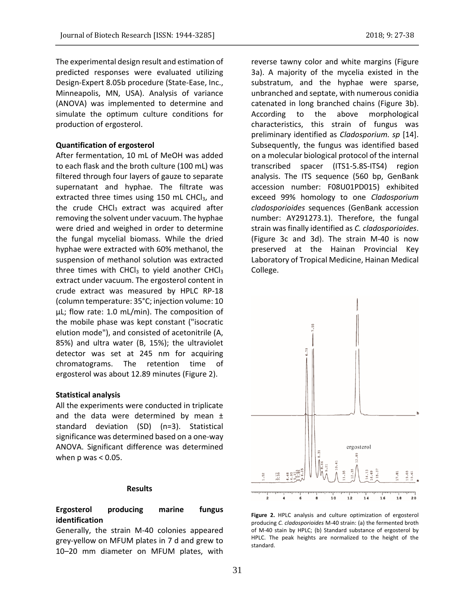The experimental design result and estimation of predicted responses were evaluated utilizing

Design-Expert 8.05b procedure (State-Ease, Inc., Minneapolis, MN, USA). Analysis of variance (ANOVA) was implemented to determine and simulate the optimum culture conditions for production of ergosterol.

### **Quantification of ergosterol**

After fermentation, 10 mL of MeOH was added to each flask and the broth culture (100 mL) was filtered through four layers of gauze to separate supernatant and hyphae. The filtrate was extracted three times using 150 mL CHCl<sub>3</sub>, and the crude CHCl<sub>3</sub> extract was acquired after removing the solvent under vacuum. The hyphae were dried and weighed in order to determine the fungal mycelial biomass. While the dried hyphae were extracted with 60% methanol, the suspension of methanol solution was extracted three times with CHCl<sub>3</sub> to yield another CHCl<sub>3</sub> extract under vacuum. The ergosterol content in crude extract was measured by HPLC RP-18 (column temperature: 35°C; injection volume: 10 µL; flow rate: 1.0 mL/min). The composition of the mobile phase was kept constant ("isocratic elution mode"), and consisted of acetonitrile (A, 85%) and ultra water (B, 15%); the ultraviolet detector was set at 245 nm for acquiring chromatograms. The retention time of ergosterol was about 12.89 minutes (Figure 2).

### **Statistical analysis**

All the experiments were conducted in triplicate and the data were determined by mean  $\pm$ standard deviation (SD) (n=3). Statistical significance was determined based on a one-way ANOVA. Significant difference was determined when  $p$  was  $< 0.05$ .

### **Results**

# **Ergosterol producing marine fungus identification**

Generally, the strain M-40 colonies appeared grey-yellow on MFUM plates in 7 d and grew to 10–20 mm diameter on MFUM plates, with

reverse tawny color and white margins (Figure 3a). A majority of the mycelia existed in the substratum, and the hyphae were sparse, unbranched and septate, with numerous conidia catenated in long branched chains (Figure 3b). According to the above morphological characteristics, this strain of fungus was preliminary identified as *Cladosporium. sp* [14]. Subsequently, the fungus was identified based on a molecular biological protocol of the internal transcribed spacer (ITS1-5.8S-ITS4) region analysis. The ITS sequence (560 bp, GenBank accession number: F08U01PD015) exhibited exceed 99% homology to one *Cladosporium cladosporioides* sequences (GenBank accession number: AY291273.1). Therefore, the fungal strain was finally identified as *C. cladosporioides*. (Figure 3c and 3d). The strain M-40 is now preserved at the Hainan Provincial Key Laboratory of Tropical Medicine, Hainan Medical College.



**Figure 2.** HPLC analysis and culture optimization of ergosterol producing *C. cladosporioides* M-40 strain: (a) the fermented broth of M-40 stain by HPLC; (b) Standard substance of ergosterol by HPLC. The peak heights are normalized to the height of the standard.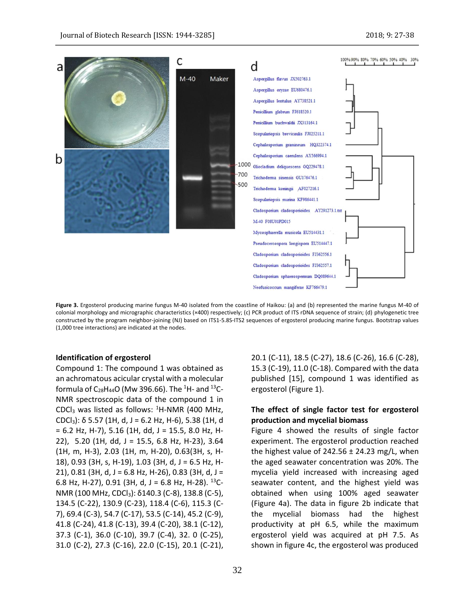

**Figure 3.** Ergosterol producing marine fungus M-40 isolated from the coastline of Haikou: (a) and (b) represented the marine fungus M-40 of colonial morphology and micrographic characteristics (×400) respectively; (c) PCR product of ITS rDNA sequence of strain; (d) phylogenetic tree constructed by the program neighbor-joining (NJ) based on ITS1-5.8S-ITS2 sequences of ergosterol producing marine fungus. Bootstrap values (1,000 tree interactions) are indicated at the nodes.

### **Identification of ergosterol**

Compound 1: The compound 1 was obtained as an achromatous acicular crystal with a molecular formula of  $C_{28}H_{44}O$  (Mw 396.66). The <sup>1</sup>H- and <sup>13</sup>C-NMR spectroscopic data of the compound 1 in CDCl<sub>3</sub> was listed as follows:  ${}^{1}$ H-NMR (400 MHz, CDCl3): δ 5.57 (1H, d, J = 6.2 Hz, H-6), 5.38 (1H, d = 6.2 Hz, H-7), 5.16 (1H, dd, J = 15.5, 8.0 Hz, H-22), 5.20 (1H, dd, J = 15.5, 6.8 Hz, H-23), 3.64 (1H, m, H-3), 2.03 (1H, m, H-20), 0.63(3H, s, H-18), 0.93 (3H, s, H-19), 1.03 (3H, d, J = 6.5 Hz, H-21), 0.81 (3H, d, J = 6.8 Hz, H-26), 0.83 (3H, d, J = 6.8 Hz, H-27), 0.91 (3H, d, J = 6.8 Hz, H-28).  $^{13}$ C-NMR (100 MHz, CDCl3): δ140.3 (C-8), 138.8 (C-5), 134.5 (C-22), 130.9 (C-23), 118.4 (C-6), 115.3 (C-7), 69.4 (C-3), 54.7 (C-17), 53.5 (C-14), 45.2 (C-9), 41.8 (C-24), 41.8 (C-13), 39.4 (C-20), 38.1 (C-12), 37.3 (C-1), 36.0 (C-10), 39.7 (C-4), 32. 0 (C-25), 31.0 (C-2), 27.3 (C-16), 22.0 (C-15), 20.1 (C-21),

published [15], compound 1 was identified as ergosterol (Figure 1). **The effect of single factor test for ergosterol production and mycelial biomass**

20.1 (C-11), 18.5 (C-27), 18.6 (C-26), 16.6 (C-28), 15.3 (C-19), 11.0 (C-18). Compared with the data

Figure 4 showed the results of single factor experiment. The ergosterol production reached the highest value of 242.56  $\pm$  24.23 mg/L, when the aged seawater concentration was 20%. The mycelia yield increased with increasing aged seawater content, and the highest yield was obtained when using 100% aged seawater (Figure 4a). The data in figure 2b indicate that the mycelial biomass had the highest productivity at pH 6.5, while the maximum ergosterol yield was acquired at pH 7.5. As shown in figure 4c, the ergosterol was produced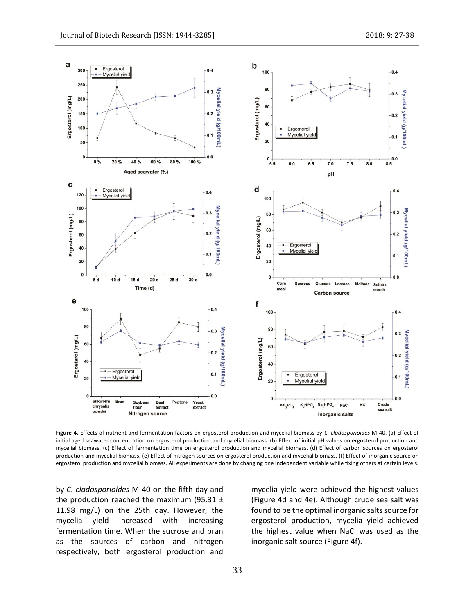

**Figure 4.** Effects of nutrient and fermentation factors on ergosterol production and mycelial biomass by *C. cladosporioides* M-40. (a) Effect of initial aged seawater concentration on ergosterol production and mycelial biomass. (b) Effect of initial pH values on ergosterol production and mycelial biomass. (c) Effect of fermentation time on ergosterol production and mycelial biomass. (d) Effect of carbon sources on ergosterol production and mycelial biomass. (e) Effect of nitrogen sources on ergosterol production and mycelial biomass. (f) Effect of inorganic source on ergosterol production and mycelial biomass. All experiments are done by changing one independent variable while fixing others at certain levels.

by *C. cladosporioides* M-40 on the fifth day and the production reached the maximum (95.31  $\pm$ 11.98 mg/L) on the 25th day. However, the mycelia yield increased with increasing fermentation time. When the sucrose and bran as the sources of carbon and nitrogen respectively, both ergosterol production and

mycelia yield were achieved the highest values (Figure 4d and 4e). Although crude sea salt was found to be the optimal inorganic salts source for ergosterol production, mycelia yield achieved the highest value when NaCl was used as the inorganic salt source (Figure 4f).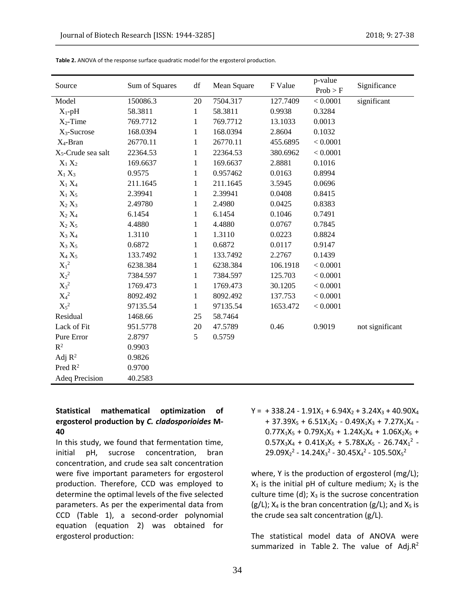| Source                         | Sum of Squares | df | Mean Square | F Value  | p-value<br>Prob > F | Significance    |
|--------------------------------|----------------|----|-------------|----------|---------------------|-----------------|
| Model                          | 150086.3       | 20 | 7504.317    | 127.7409 | < 0.0001            | significant     |
| $X_1$ -pH                      | 58.3811        | 1  | 58.3811     | 0.9938   | 0.3284              |                 |
| $X_2$ -Time                    | 769.7712       | 1  | 769.7712    | 13.1033  | 0.0013              |                 |
| $X_3$ -Sucrose                 | 168.0394       | 1  | 168.0394    | 2.8604   | 0.1032              |                 |
| $X_4$ -Bran                    | 26770.11       | 1  | 26770.11    | 455.6895 | < 0.0001            |                 |
| X <sub>5</sub> -Crude sea salt | 22364.53       | 1  | 22364.53    | 380.6962 | < 0.0001            |                 |
| $X_1 X_2$                      | 169.6637       | 1  | 169.6637    | 2.8881   | 0.1016              |                 |
| $X_1 X_3$                      | 0.9575         | 1  | 0.957462    | 0.0163   | 0.8994              |                 |
| $X_1 X_4$                      | 211.1645       | 1  | 211.1645    | 3.5945   | 0.0696              |                 |
| $X_1 X_5$                      | 2.39941        | 1  | 2.39941     | 0.0408   | 0.8415              |                 |
| $X_2 X_3$                      | 2.49780        | 1  | 2.4980      | 0.0425   | 0.8383              |                 |
| $X_2 X_4$                      | 6.1454         | 1  | 6.1454      | 0.1046   | 0.7491              |                 |
| $X_2 X_5$                      | 4.4880         | 1  | 4.4880      | 0.0767   | 0.7845              |                 |
| $X_3 X_4$                      | 1.3110         | 1  | 1.3110      | 0.0223   | 0.8824              |                 |
| $X_3 X_5$                      | 0.6872         | 1  | 0.6872      | 0.0117   | 0.9147              |                 |
| $X_4 X_5$                      | 133.7492       | 1  | 133.7492    | 2.2767   | 0.1439              |                 |
| $X_1^2$                        | 6238.384       | 1  | 6238.384    | 106.1918 | < 0.0001            |                 |
| $X_2{}^2$                      | 7384.597       | 1  | 7384.597    | 125.703  | < 0.0001            |                 |
| $X_3{}^2$                      | 1769.473       | 1  | 1769.473    | 30.1205  | < 0.0001            |                 |
| $\mathbf{X}_4{}^2$             | 8092.492       | 1  | 8092.492    | 137.753  | < 0.0001            |                 |
| $X_5{}^2$                      | 97135.54       | 1  | 97135.54    | 1653.472 | < 0.0001            |                 |
| Residual                       | 1468.66        | 25 | 58.7464     |          |                     |                 |
| Lack of Fit                    | 951.5778       | 20 | 47.5789     | 0.46     | 0.9019              | not significant |
| Pure Error                     | 2.8797         | 5  | 0.5759      |          |                     |                 |
| $R^2$                          | 0.9903         |    |             |          |                     |                 |
| Adj $R^2$                      | 0.9826         |    |             |          |                     |                 |
| Pred $\mathbb{R}^2$            | 0.9700         |    |             |          |                     |                 |
| <b>Adeq Precision</b>          | 40.2583        |    |             |          |                     |                 |

**Table 2.** ANOVA of the response surface quadratic model for the ergosterol production.

# **Statistical mathematical optimization of ergosterol production by** *C. cladosporioides* **M-40**

In this study, we found that fermentation time, initial pH, sucrose concentration, bran concentration, and crude sea salt concentration were five important parameters for ergosterol production. Therefore, CCD was employed to determine the optimal levels of the five selected parameters. As per the experimental data from CCD (Table 1), a second-order polynomial equation (equation 2) was obtained for ergosterol production:

 $Y = +338.24 - 1.91X_1 + 6.94X_2 + 3.24X_3 + 40.90X_4$ + 37.39 $X_5$  + 6.51 $X_1X_2$  - 0.49 $X_1X_3$  + 7.27 $X_1X_4$  - $0.77X_1X_5 + 0.79X_2X_3 + 1.24X_2X_4 + 1.06X_2X_5 +$  $0.57X_3X_4 + 0.41X_3X_5 + 5.78X_4X_5 - 26.74X_1^2$  - $29.09X_2^2 - 14.24X_3^2 - 30.45X_4^2 - 105.50X_5^2$ 

where, Y is the production of ergosterol (mg/L);  $X_1$  is the initial pH of culture medium;  $X_2$  is the culture time (d);  $X_3$  is the sucrose concentration  $(g/L)$ ;  $X_4$  is the bran concentration  $(g/L)$ ; and  $X_5$  is the crude sea salt concentration (g/L).

The statistical model data of ANOVA were summarized in Table 2. The value of Adj. $R^2$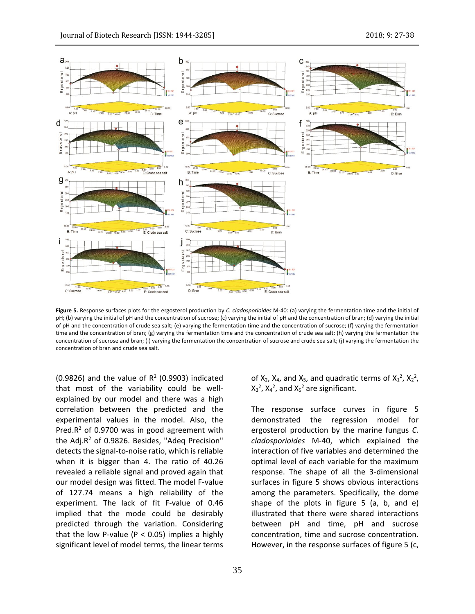

**Figure 5.** Response surfaces plots for the ergosterol production by *C. cladosporioides* M-40: (a) varying the fermentation time and the initial of pH; (b) varying the initial of pH and the concentration of sucrose; (c) varying the initial of pH and the concentration of bran; (d) varying the initial of pH and the concentration of crude sea salt; (e) varying the fermentation time and the concentration of sucrose; (f) varying the fermentation time and the concentration of bran; (g) varying the fermentation time and the concentration of crude sea salt; (h) varying the fermentation the concentration of sucrose and bran; (i) varying the fermentation the concentration of sucrose and crude sea salt; (j) varying the fermentation the concentration of bran and crude sea salt.

 $(0.9826)$  and the value of  $R^2$  (0.9903) indicated that most of the variability could be wellexplained by our model and there was a high correlation between the predicted and the experimental values in the model. Also, the Pred. $R^2$  of 0.9700 was in good agreement with the Adj. $R^2$  of 0.9826. Besides, "Adeq Precision" detects the signal-to-noise ratio, which is reliable when it is bigger than 4. The ratio of 40.26 revealed a reliable signal and proved again that our model design was fitted. The model F-value of 127.74 means a high reliability of the experiment. The lack of fit F-value of 0.46 implied that the mode could be desirably predicted through the variation. Considering that the low P-value ( $P < 0.05$ ) implies a highly significant level of model terms, the linear terms

of  $X_2$ ,  $X_4$ , and  $X_5$ , and quadratic terms of  $X_1^2$ ,  $X_2^2$ ,  $X_3^2$ ,  $X_4^2$ , and  $X_5^2$  are significant.

The response surface curves in figure 5 demonstrated the regression model for ergosterol production by the marine fungus *C. cladosporioides* M-40, which explained the interaction of five variables and determined the optimal level of each variable for the maximum response. The shape of all the 3-dimensional surfaces in figure 5 shows obvious interactions among the parameters. Specifically, the dome shape of the plots in figure 5 (a, b, and e) illustrated that there were shared interactions between pH and time, pH and sucrose concentration, time and sucrose concentration. However, in the response surfaces of figure 5 (c,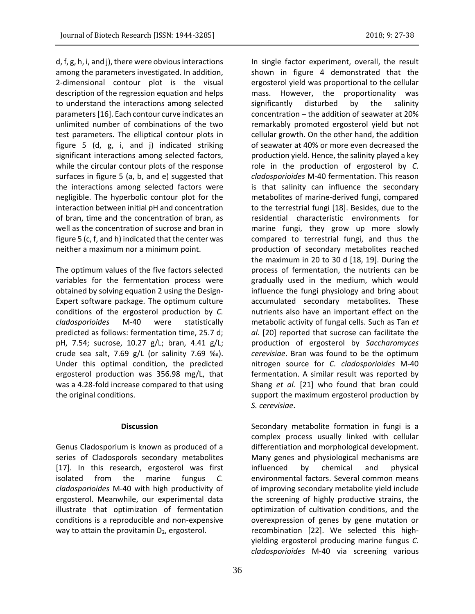d, f, g, h, i, and j), there were obvious interactions among the parameters investigated. In addition, 2-dimensional contour plot is the visual description of the regression equation and helps to understand the interactions among selected parameters [16]. Each contour curve indicates an unlimited number of combinations of the two test parameters. The elliptical contour plots in figure 5 (d, g, i, and j) indicated striking significant interactions among selected factors, while the circular contour plots of the response surfaces in figure 5 (a, b, and e) suggested that the interactions among selected factors were negligible. The hyperbolic contour plot for the interaction between initial pH and concentration of bran, time and the concentration of bran, as well as the concentration of sucrose and bran in figure 5 (c, f, and h) indicated that the center was neither a maximum nor a minimum point.

The optimum values of the five factors selected variables for the fermentation process were obtained by solving equation 2 using the Design-Expert software package. The optimum culture conditions of the ergosterol production by *C. cladosporioides* M-40 were statistically predicted as follows: fermentation time, 25.7 d; pH, 7.54; sucrose, 10.27 g/L; bran, 4.41 g/L; crude sea salt, 7.69 g/L (or salinity 7.69 ‰). Under this optimal condition, the predicted ergosterol production was 356.98 mg/L, that was a 4.28-fold increase compared to that using the original conditions.

### **Discussion**

Genus Cladosporium is known as produced of a series of Cladosporols secondary metabolites [17]. In this research, ergosterol was first isolated from the marine fungus *C. cladosporioides* M-40 with high productivity of ergosterol. Meanwhile, our experimental data illustrate that optimization of fermentation conditions is a reproducible and non-expensive way to attain the provitamin  $D_2$ , ergosterol.

In single factor experiment, overall, the result shown in figure 4 demonstrated that the ergosterol yield was proportional to the cellular mass. However, the proportionality was significantly disturbed by the salinity concentration – the addition of seawater at 20% remarkably promoted ergosterol yield but not cellular growth. On the other hand, the addition of seawater at 40% or more even decreased the production yield. Hence, the salinity played a key role in the production of ergosterol by *C. cladosporioides* M-40 fermentation. This reason is that salinity can influence the secondary metabolites of marine-derived fungi, compared to the terrestrial fungi [18]. Besides, due to the residential characteristic environments for marine fungi, they grow up more slowly compared to terrestrial fungi, and thus the production of secondary metabolites reached the maximum in 20 to 30 d [18, 19]. During the process of fermentation, the nutrients can be gradually used in the medium, which would influence the fungi physiology and bring about accumulated secondary metabolites. These nutrients also have an important effect on the metabolic activity of fungal cells. Such as Tan *et al.* [20] reported that sucrose can facilitate the production of ergosterol by *Saccharomyces cerevisiae*. Bran was found to be the optimum nitrogen source for *C. cladosporioides* M-40 fermentation. A similar result was reported by Shang *et al.* [21] who found that bran could support the maximum ergosterol production by *S. cerevisiae*.

Secondary metabolite formation in fungi is a complex process usually linked with cellular differentiation and morphological development. Many genes and physiological mechanisms are influenced by chemical and physical environmental factors. Several common means of improving secondary metabolite yield include the screening of highly productive strains, the optimization of cultivation conditions, and the overexpression of genes by gene mutation or recombination [22]. We selected this highyielding ergosterol producing marine fungus *C. cladosporioides* M-40 via screening various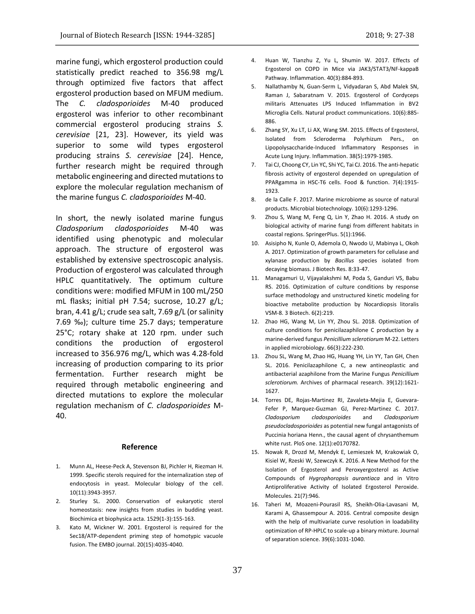marine fungi, which ergosterol production could statistically predict reached to 356.98 mg/L through optimized five factors that affect ergosterol production based on MFUM medium. The *C. cladosporioides* M-40 produced ergosterol was inferior to other recombinant commercial ergosterol producing strains *S. cerevisiae* [21, 23]. However, its yield was superior to some wild types ergosterol producing strains *S. cerevisiae* [24]. Hence, further research might be required through metabolic engineering and directed mutations to explore the molecular regulation mechanism of the marine fungus *C. cladosporioides* M-40.

In short, the newly isolated marine fungus *Cladosporium cladosporioides* M-40 was identified using phenotypic and molecular approach. The structure of ergosterol was established by extensive spectroscopic analysis. Production of ergosterol was calculated through HPLC quantitatively. The optimum culture conditions were: modified MFUM in 100 mL/250 mL flasks; initial pH 7.54; sucrose, 10.27 g/L; bran, 4.41 g/L; crude sea salt, 7.69 g/L (or salinity 7.69 ‰); culture time 25.7 days; temperature 25°C; rotary shake at 120 rpm. under such conditions the production of ergosterol increased to 356.976 mg/L, which was 4.28-fold increasing of production comparing to its prior fermentation. Further research might be required through metabolic engineering and directed mutations to explore the molecular regulation mechanism of *C. cladosporioides* M-40.

#### **Reference**

- 1. Munn AL, Heese-Peck A, Stevenson BJ, Pichler H, Riezman H. 1999. Specific sterols required for the internalization step of endocytosis in yeast. Molecular biology of the cell. 10(11):3943-3957.
- 2. Sturley SL. 2000. Conservation of eukaryotic sterol homeostasis: new insights from studies in budding yeast. Biochimica et biophysica acta. 1529(1-3):155-163.
- 3. Kato M, Wickner W. 2001. Ergosterol is required for the Sec18/ATP-dependent priming step of homotypic vacuole fusion. The EMBO journal. 20(15):4035-4040.
- 4. Huan W, Tianzhu Z, Yu L, Shumin W. 2017. Effects of Ergosterol on COPD in Mice via JAK3/STAT3/NF-kappaB Pathway. Inflammation. 40(3):884-893.
- 5. Nallathamby N, Guan-Serm L, Vidyadaran S, Abd Malek SN, Raman J, Sabaratnam V. 2015. Ergosterol of Cordyceps militaris Attenuates LPS Induced Inflammation in BV2 Microglia Cells. Natural product communications. 10(6):885- 886.
- 6. Zhang SY, Xu LT, Li AX, Wang SM. 2015. Effects of Ergosterol, Isolated from Scleroderma Polyrhizum Pers., on Lipopolysaccharide-Induced Inflammatory Responses in Acute Lung Injury. Inflammation. 38(5):1979-1985.
- 7. Tai CJ, Choong CY, Lin YC, Shi YC, Tai CJ. 2016. The anti-hepatic fibrosis activity of ergosterol depended on upregulation of PPARgamma in HSC-T6 cells. Food & function. 7(4):1915- 1923.
- 8. de la Calle F. 2017. Marine microbiome as source of natural products. Microbial biotechnology. 10(6):1293-1296.
- 9. Zhou S, Wang M, Feng Q, Lin Y, Zhao H. 2016. A study on biological activity of marine fungi from different habitats in coastal regions. SpringerPlus. 5(1):1966.
- 10. Asisipho N, Kunle O, Ademola O, Nwodo U, Mabinya L, Okoh A. 2017. Optimization of growth parameters for cellulase and xylanase production by *Bacillus* species isolated from decaying biomass. J Biotech Res. 8:33-47.
- 11. Managamuri U, Vijayalakshmi M, Poda S, Ganduri VS, Babu RS. 2016. Optimization of culture conditions by response surface methodology and unstructured kinetic modeling for bioactive metabolite production by Nocardiopsis litoralis VSM-8. 3 Biotech. 6(2):219.
- 12. Zhao HG, Wang M, Lin YY, Zhou SL. 2018. Optimization of culture conditions for penicilazaphilone C production by a marine-derived fungus *Penicillium sclerotiorum* M-22. Letters in applied microbiology. 66(3):222-230.
- 13. Zhou SL, Wang M, Zhao HG, Huang YH, Lin YY, Tan GH, Chen SL. 2016. Penicilazaphilone C, a new antineoplastic and antibacterial azaphilone from the Marine Fungus *Penicillium sclerotiorum.* Archives of pharmacal research. 39(12):1621- 1627.
- 14. Torres DE, Rojas-Martinez RI, Zavaleta-Mejia E, Guevara-Fefer P, Marquez-Guzman GJ, Perez-Martinez C. 2017. *Cladosporium cladosporioides* and *Cladosporium pseudocladosporioides* as potential new fungal antagonists of Puccinia horiana Henn., the causal agent of chrysanthemum white rust. PloS one. 12(1):e0170782.
- 15. Nowak R, Drozd M, Mendyk E, Lemieszek M, Krakowiak O, Kisiel W, Rzeski W, Szewczyk K. 2016. A New Method for the Isolation of Ergosterol and Peroxyergosterol as Active Compounds of *Hygrophoropsis aurantiaca* and in Vitro Antiproliferative Activity of Isolated Ergosterol Peroxide. Molecules. 21(7):946.
- 16. Taheri M, Moazeni-Pourasil RS, Sheikh-Olia-Lavasani M, Karami A, Ghassempour A. 2016. Central composite design with the help of multivariate curve resolution in loadability optimization of RP-HPLC to scale-up a binary mixture. Journal of separation science. 39(6):1031-1040.